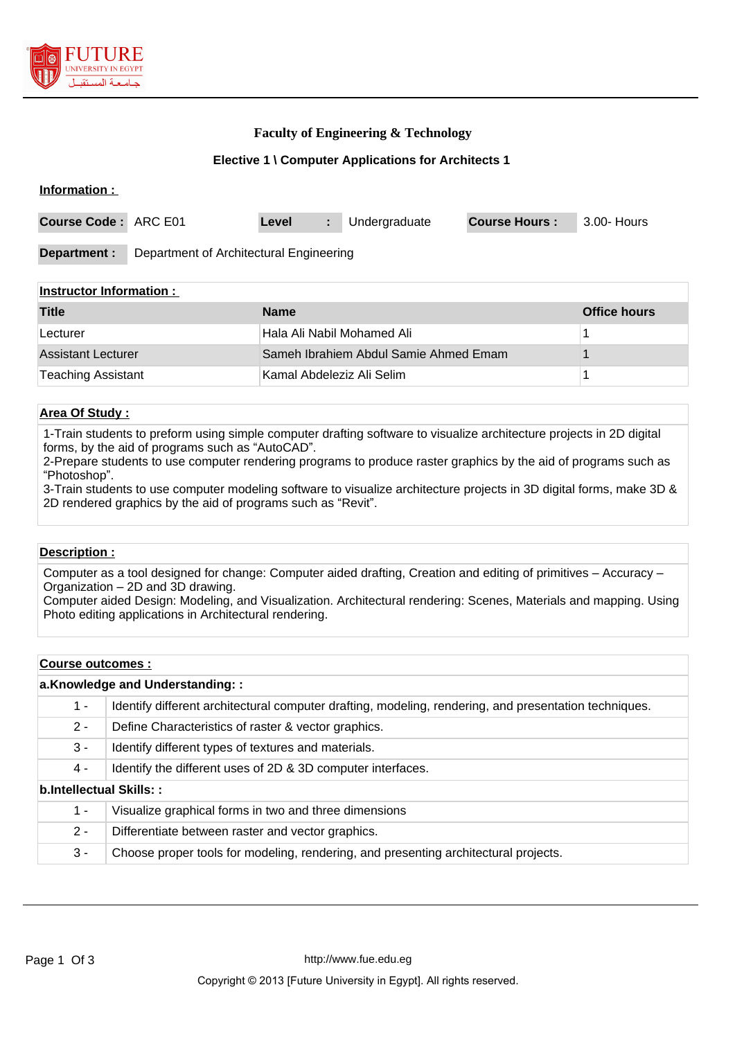

### **Faculty of Engineering & Technology**

#### **Elective 1 \ Computer Applications for Architects 1**

| Information :        |                                         |       |  |               |                      |             |
|----------------------|-----------------------------------------|-------|--|---------------|----------------------|-------------|
| Course Code: ARC E01 |                                         | Level |  | Undergraduate | <b>Course Hours:</b> | 3.00- Hours |
| Department :         | Department of Architectural Engineering |       |  |               |                      |             |

#### **Instructor Information :**

| <b>Title</b>              | <b>Name</b>                           | <b>Office hours</b> |
|---------------------------|---------------------------------------|---------------------|
| Lecturer                  | Hala Ali Nabil Mohamed Ali            |                     |
| <b>Assistant Lecturer</b> | Sameh Ibrahiem Abdul Samie Ahmed Emam |                     |
| <b>Teaching Assistant</b> | Kamal Abdeleziz Ali Selim             |                     |

### **Area Of Study :**

1-Train students to preform using simple computer drafting software to visualize architecture projects in 2D digital forms, by the aid of programs such as "AutoCAD".

2-Prepare students to use computer rendering programs to produce raster graphics by the aid of programs such as "Photoshop".

3-Train students to use computer modeling software to visualize architecture projects in 3D digital forms, make 3D & 2D rendered graphics by the aid of programs such as "Revit".

#### **Description :**

Computer as a tool designed for change: Computer aided drafting, Creation and editing of primitives – Accuracy – Organization – 2D and 3D drawing.

Computer aided Design: Modeling, and Visualization. Architectural rendering: Scenes, Materials and mapping. Using Photo editing applications in Architectural rendering.

#### **Course outcomes :**

| a.Knowledge and Understanding:: |                                                                                                       |  |  |  |
|---------------------------------|-------------------------------------------------------------------------------------------------------|--|--|--|
| 1 -                             | Identify different architectural computer drafting, modeling, rendering, and presentation techniques. |  |  |  |
| $2 -$                           | Define Characteristics of raster & vector graphics.                                                   |  |  |  |
| $3 -$                           | Identify different types of textures and materials.                                                   |  |  |  |
| 4 -                             | Identify the different uses of 2D & 3D computer interfaces.                                           |  |  |  |
| b.Intellectual Skills::         |                                                                                                       |  |  |  |
| 1 -                             | Visualize graphical forms in two and three dimensions                                                 |  |  |  |
| $2 -$                           | Differentiate between raster and vector graphics.                                                     |  |  |  |
| 3 -                             | Choose proper tools for modeling, rendering, and presenting architectural projects.                   |  |  |  |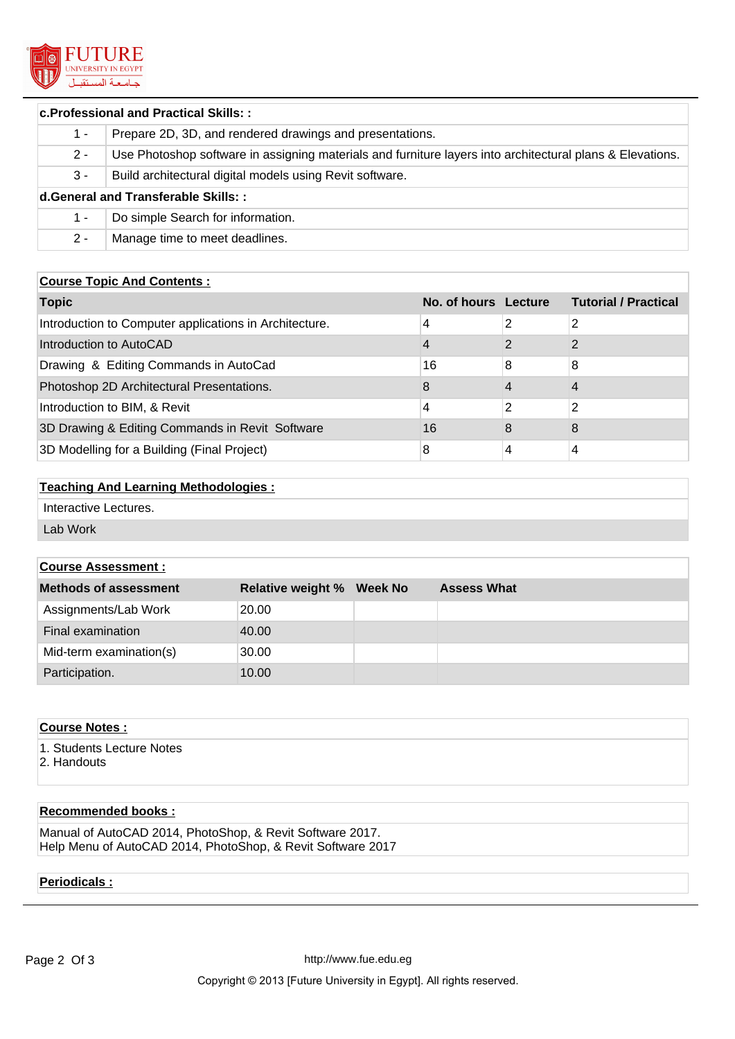

#### **c.Professional and Practical Skills: :**

| $1 -$                               | Prepare 2D, 3D, and rendered drawings and presentations.                                                  |  |  |  |
|-------------------------------------|-----------------------------------------------------------------------------------------------------------|--|--|--|
| $2 -$                               | Use Photoshop software in assigning materials and furniture layers into architectural plans & Elevations. |  |  |  |
| $3 -$                               | Build architectural digital models using Revit software.                                                  |  |  |  |
| d.General and Transferable Skills:: |                                                                                                           |  |  |  |
| $1 -$                               | Do simple Search for information.                                                                         |  |  |  |
| $2 -$                               | Manage time to meet deadlines.                                                                            |  |  |  |

### **Course Topic And Contents :**

| <b>Topic</b>                                           | No. of hours Lecture |   | <b>Tutorial / Practical</b> |
|--------------------------------------------------------|----------------------|---|-----------------------------|
| Introduction to Computer applications in Architecture. | 4                    |   | 2                           |
| Introduction to AutoCAD                                | 4                    |   |                             |
| Drawing & Editing Commands in AutoCad                  | 16                   | 8 | 8                           |
| Photoshop 2D Architectural Presentations.              | 8                    |   |                             |
| Introduction to BIM, & Revit                           | 4                    | 2 | 2                           |
| 3D Drawing & Editing Commands in Revit Software        | 16                   | 8 | 8                           |
| 3D Modelling for a Building (Final Project)            | 8                    | 4 | 4                           |

### **Teaching And Learning Methodologies :**

Interactive Lectures.

Lab Work

## **Course Assessment :**

| Methods of assessment   | <b>Relative weight % Week No</b> | <b>Assess What</b> |
|-------------------------|----------------------------------|--------------------|
| Assignments/Lab Work    | 20.00                            |                    |
| Final examination       | 40.00                            |                    |
| Mid-term examination(s) | 30.00                            |                    |
| Participation.          | 10.00                            |                    |

| <b>Course Notes:</b>      |  |
|---------------------------|--|
| 1. Students Lecture Notes |  |
| 2. Handouts               |  |

### **Recommended books :**

Manual of AutoCAD 2014, PhotoShop, & Revit Software 2017. Help Menu of AutoCAD 2014, PhotoShop, & Revit Software 2017

### **Periodicals :**